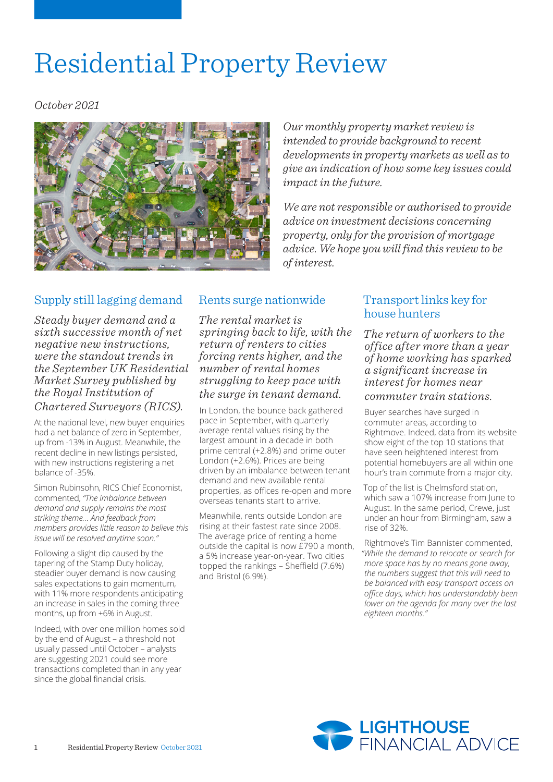# Residential Property Review

*October 2021*



*Our monthly property market review is intended to provide background to recent developments in property markets as well as to give an indication of how some key issues could impact in the future.*

*We are not responsible or authorised to provide advice on investment decisions concerning property, only for the provision of mortgage advice. We hope you will find this review to be of interest.*

# Supply still lagging demand

*Steady buyer demand and a sixth successive month of net negative new instructions, were the standout trends in the September UK Residential Market Survey published by the Royal Institution of Chartered Surveyors (RICS).*

At the national level, new buyer enquiries had a net balance of zero in September, up from -13% in August. Meanwhile, the recent decline in new listings persisted, with new instructions registering a net balance of -35%.

Simon Rubinsohn, RICS Chief Economist, commented, *"The imbalance between demand and supply remains the most striking theme… And feedback from members provides little reason to believe this issue will be resolved anytime soon."*

Following a slight dip caused by the tapering of the Stamp Duty holiday, steadier buyer demand is now causing sales expectations to gain momentum, with 11% more respondents anticipating an increase in sales in the coming three months, up from +6% in August.

Indeed, with over one million homes sold by the end of August – a threshold not usually passed until October – analysts are suggesting 2021 could see more transactions completed than in any year since the global financial crisis.

# Rents surge nationwide

*The rental market is springing back to life, with the return of renters to cities forcing rents higher, and the number of rental homes struggling to keep pace with the surge in tenant demand.*

In London, the bounce back gathered pace in September, with quarterly average rental values rising by the largest amount in a decade in both prime central (+2.8%) and prime outer London (+2.6%). Prices are being driven by an imbalance between tenant demand and new available rental properties, as offices re-open and more overseas tenants start to arrive.

Meanwhile, rents outside London are rising at their fastest rate since 2008. The average price of renting a home outside the capital is now  $E$ 790 a month, a 5% increase year-on-year. Two cities topped the rankings – Sheffield (7.6%) and Bristol (6.9%).

## Transport links key for house hunters

*The return of workers to the office after more than a year of home working has sparked a significant increase in interest for homes near commuter train stations.*

Buyer searches have surged in commuter areas, according to Rightmove. Indeed, data from its website show eight of the top 10 stations that have seen heightened interest from potential homebuyers are all within one hour's train commute from a major city.

Top of the list is Chelmsford station, which saw a 107% increase from June to August. In the same period, Crewe, just under an hour from Birmingham, saw a rise of 32%.

Rightmove's Tim Bannister commented, *"While the demand to relocate or search for more space has by no means gone away, the numbers suggest that this will need to be balanced with easy transport access on office days, which has understandably been lower on the agenda for many over the last eighteen months."*